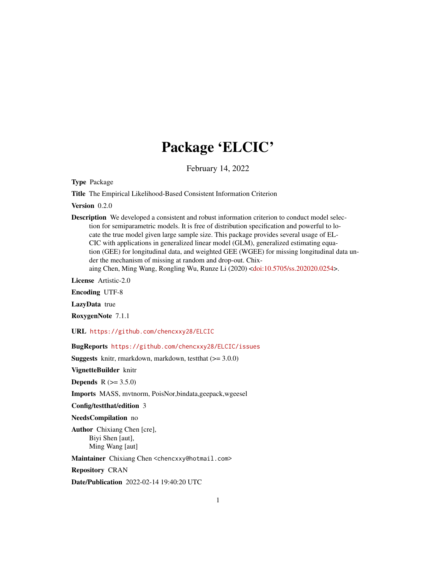# Package 'ELCIC'

February 14, 2022

Type Package

Title The Empirical Likelihood-Based Consistent Information Criterion

Version 0.2.0

Description We developed a consistent and robust information criterion to conduct model selection for semiparametric models. It is free of distribution specification and powerful to locate the true model given large sample size. This package provides several usage of EL-CIC with applications in generalized linear model (GLM), generalized estimating equation (GEE) for longitudinal data, and weighted GEE (WGEE) for missing longitudinal data under the mechanism of missing at random and drop-out. Chixaing Chen, Ming Wang, Rongling Wu, Runze Li (2020) [<doi:10.5705/ss.202020.0254>](https://doi.org/10.5705/ss.202020.0254).

License Artistic-2.0

Encoding UTF-8

LazyData true

RoxygenNote 7.1.1

URL <https://github.com/chencxxy28/ELCIC>

BugReports <https://github.com/chencxxy28/ELCIC/issues>

**Suggests** knitr, rmarkdown, markdown, test that  $(>= 3.0.0)$ 

VignetteBuilder knitr

**Depends** R  $(>= 3.5.0)$ 

Imports MASS, mvtnorm, PoisNor,bindata,geepack,wgeesel

Config/testthat/edition 3

NeedsCompilation no

Author Chixiang Chen [cre], Biyi Shen [aut], Ming Wang [aut]

Maintainer Chixiang Chen <chencxxy@hotmail.com>

Repository CRAN

Date/Publication 2022-02-14 19:40:20 UTC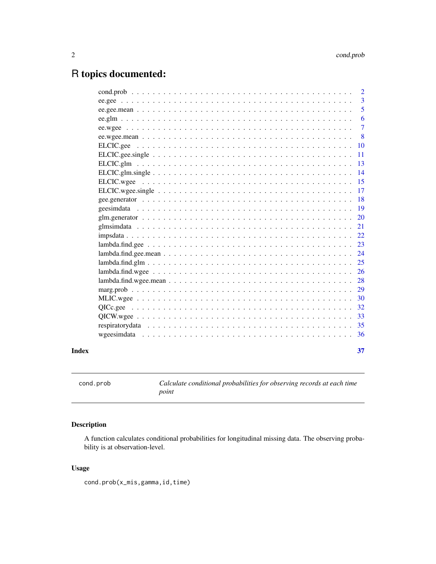## <span id="page-1-0"></span>R topics documented:

| Index |                   | 37             |
|-------|-------------------|----------------|
|       |                   | 36             |
|       |                   | -35            |
|       |                   | 33             |
|       |                   | 32             |
|       |                   | 30             |
|       |                   | 29             |
|       |                   | 28             |
|       |                   | 26             |
|       | $lambda.find.glm$ | 25             |
|       |                   | 24             |
|       |                   | 23             |
|       |                   | 22             |
|       |                   | 21             |
|       |                   | 20             |
|       |                   | 19             |
|       |                   | 18             |
|       |                   | 17             |
|       |                   | 15             |
|       |                   | 14             |
|       | $ELCIC$ .glm      | 13             |
|       |                   | 11             |
|       |                   | 10             |
|       |                   | 8              |
|       |                   | $\overline{7}$ |
|       |                   | 6              |
|       |                   | 5              |
|       |                   | 3              |
|       |                   | 2              |

cond.prob *Calculate conditional probabilities for observing records at each time point*

## Description

A function calculates conditional probabilities for longitudinal missing data. The observing probability is at observation-level.

#### Usage

cond.prob(x\_mis,gamma,id,time)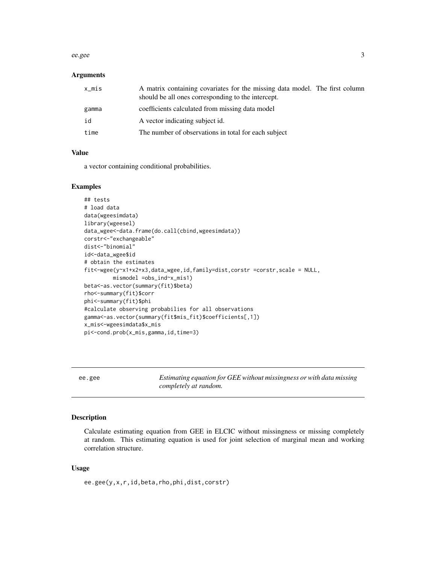#### <span id="page-2-0"></span>ee.gee 3

#### Arguments

| $x_m$ is | A matrix containing covariates for the missing data model. The first column<br>should be all ones corresponding to the intercept. |  |
|----------|-----------------------------------------------------------------------------------------------------------------------------------|--|
| gamma    | coefficients calculated from missing data model                                                                                   |  |
| id       | A vector indicating subject id.                                                                                                   |  |
| time     | The number of observations in total for each subject                                                                              |  |

#### Value

a vector containing conditional probabilities.

#### Examples

```
## tests
# load data
data(wgeesimdata)
library(wgeesel)
data_wgee<-data.frame(do.call(cbind,wgeesimdata))
corstr<-"exchangeable"
dist<-"binomial"
id<-data_wgee$id
# obtain the estimates
fit<-wgee(y~x1+x2+x3,data_wgee,id,family=dist,corstr =corstr,scale = NULL,
        mismodel =obs_ind~x_mis1)
beta<-as.vector(summary(fit)$beta)
rho<-summary(fit)$corr
phi<-summary(fit)$phi
#calculate observing probabilies for all observations
gamma<-as.vector(summary(fit$mis_fit)$coefficients[,1])
x_mis<-wgeesimdata$x_mis
pi<-cond.prob(x_mis,gamma,id,time=3)
```
<span id="page-2-1"></span>ee.gee *Estimating equation for GEE without missingness or with data missing completely at random.*

#### Description

Calculate estimating equation from GEE in ELCIC without missingness or missing completely at random. This estimating equation is used for joint selection of marginal mean and working correlation structure.

#### Usage

ee.gee(y,x,r,id,beta,rho,phi,dist,corstr)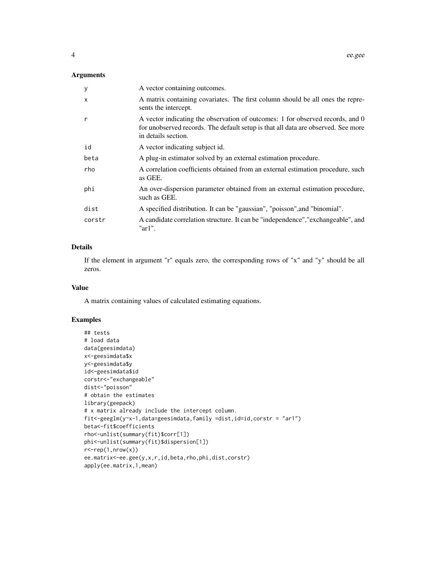#### Arguments

| У            | A vector containing outcomes.                                                                                                                                                              |
|--------------|--------------------------------------------------------------------------------------------------------------------------------------------------------------------------------------------|
| $\mathsf{x}$ | A matrix containing covariates. The first column should be all ones the repre-<br>sents the intercept.                                                                                     |
| $\mathsf{r}$ | A vector indicating the observation of outcomes: 1 for observed records, and 0<br>for unobserved records. The default setup is that all data are observed. See more<br>in details section. |
| id           | A vector indicating subject id.                                                                                                                                                            |
| beta         | A plug-in estimator solved by an external estimation procedure.                                                                                                                            |
| rho          | A correlation coefficients obtained from an external estimation procedure, such<br>as GEE.                                                                                                 |
| phi          | An over-dispersion parameter obtained from an external estimation procedure,<br>such as GEE.                                                                                               |
| dist         | A specified distribution. It can be "gaussian", "poisson", and "binomial".                                                                                                                 |
| corstr       | A candidate correlation structure. It can be "independence", "exchangeable", and<br>" $ar1$ ".                                                                                             |

## Details

If the element in argument "r" equals zero, the corresponding rows of "x" and "y" should be all zeros.

#### Value

A matrix containing values of calculated estimating equations.

```
## tests
# load data
data(geesimdata)
x<-geesimdata$x
y<-geesimdata$y
id<-geesimdata$id
corstr<-"exchangeable"
dist<-"poisson"
# obtain the estimates
library(geepack)
# x matrix already include the intercept column.
fit<-geeglm(y~x-1,data=geesimdata,family =dist,id=id,corstr = "ar1")
beta<-fit$coefficients
rho<-unlist(summary(fit)$corr[1])
phi<-unlist(summary(fit)$dispersion[1])
r <-rep(1,nrow(x))
ee.matrix<-ee.gee(y,x,r,id,beta,rho,phi,dist,corstr)
apply(ee.matrix,1,mean)
```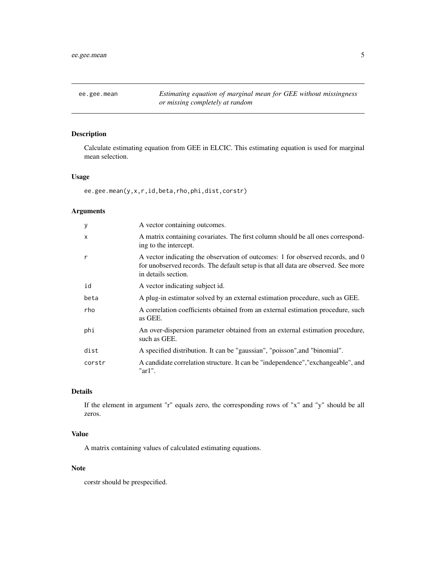<span id="page-4-1"></span><span id="page-4-0"></span>ee.gee.mean *Estimating equation of marginal mean for GEE without missingness or missing completely at random*

#### Description

Calculate estimating equation from GEE in ELCIC. This estimating equation is used for marginal mean selection.

#### Usage

ee.gee.mean(y,x,r,id,beta,rho,phi,dist,corstr)

#### Arguments

| y      | A vector containing outcomes.                                                                                                                                                              |
|--------|--------------------------------------------------------------------------------------------------------------------------------------------------------------------------------------------|
| X      | A matrix containing covariates. The first column should be all ones correspond-<br>ing to the intercept.                                                                                   |
| r      | A vector indicating the observation of outcomes: 1 for observed records, and 0<br>for unobserved records. The default setup is that all data are observed. See more<br>in details section. |
| id     | A vector indicating subject id.                                                                                                                                                            |
| beta   | A plug-in estimator solved by an external estimation procedure, such as GEE.                                                                                                               |
| rho    | A correlation coefficients obtained from an external estimation procedure, such<br>as GEE.                                                                                                 |
| phi    | An over-dispersion parameter obtained from an external estimation procedure,<br>such as GEE.                                                                                               |
| dist   | A specified distribution. It can be "gaussian", "poisson", and "binomial".                                                                                                                 |
| corstr | A candidate correlation structure. It can be "independence", "exchangeable", and<br>" $ar1$ ".                                                                                             |

#### Details

If the element in argument "r" equals zero, the corresponding rows of "x" and "y" should be all zeros.

#### Value

A matrix containing values of calculated estimating equations.

#### Note

corstr should be prespecified.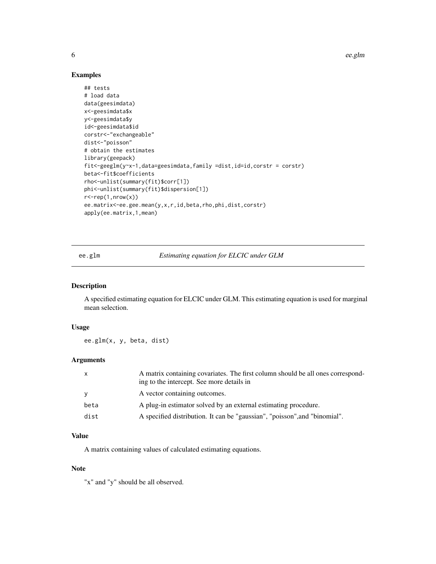6 ee.glm

#### Examples

```
## tests
# load data
data(geesimdata)
x<-geesimdata$x
y<-geesimdata$y
id<-geesimdata$id
corstr<-"exchangeable"
dist<-"poisson"
# obtain the estimates
library(geepack)
fit<-geeglm(y~x-1,data=geesimdata,family =dist,id=id,corstr = corstr)
beta<-fit$coefficients
rho<-unlist(summary(fit)$corr[1])
phi<-unlist(summary(fit)$dispersion[1])
r < - rep(1, nrow(x))
ee.matrix<-ee.gee.mean(y,x,r,id,beta,rho,phi,dist,corstr)
apply(ee.matrix,1,mean)
```
ee.glm *Estimating equation for ELCIC under GLM*

#### Description

A specified estimating equation for ELCIC under GLM. This estimating equation is used for marginal mean selection.

#### Usage

ee.glm(x, y, beta, dist)

#### Arguments

| $\mathsf{X}$ | A matrix containing covariates. The first column should be all ones correspond-<br>ing to the intercept. See more details in |
|--------------|------------------------------------------------------------------------------------------------------------------------------|
| <b>V</b>     | A vector containing outcomes.                                                                                                |
| beta         | A plug-in estimator solved by an external estimating procedure.                                                              |
| dist         | A specified distribution. It can be "gaussian", "poisson", and "binomial".                                                   |

#### Value

A matrix containing values of calculated estimating equations.

#### Note

"x" and "y" should be all observed.

<span id="page-5-0"></span>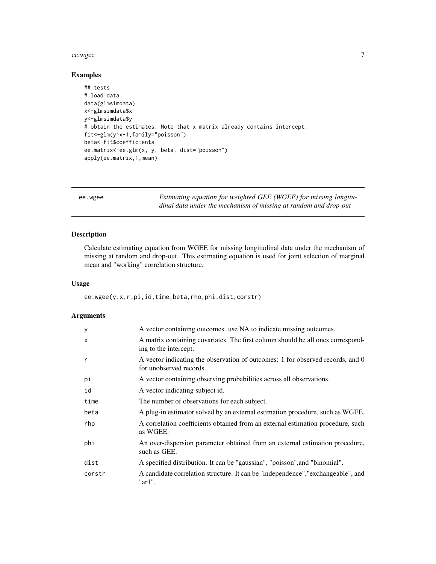#### <span id="page-6-0"></span>ee.wgee 7

## Examples

```
## tests
# load data
data(glmsimdata)
x<-glmsimdata$x
y<-glmsimdata$y
# obtain the estimates. Note that x matrix already contains intercept.
fit<-glm(y~x-1,family="poisson")
beta<-fit$coefficients
ee.matrix<-ee.glm(x, y, beta, dist="poisson")
apply(ee.matrix,1,mean)
```
<span id="page-6-1"></span>ee.wgee *Estimating equation for weighted GEE (WGEE) for missing longitudinal data under the mechanism of missing at random and drop-out*

#### Description

Calculate estimating equation from WGEE for missing longitudinal data under the mechanism of missing at random and drop-out. This estimating equation is used for joint selection of marginal mean and "working" correlation structure.

#### Usage

ee.wgee(y,x,r,pi,id,time,beta,rho,phi,dist,corstr)

| У            | A vector containing outcomes, use NA to indicate missing outcomes.                                        |
|--------------|-----------------------------------------------------------------------------------------------------------|
| $\mathsf{x}$ | A matrix containing covariates. The first column should be all ones correspond-<br>ing to the intercept.  |
| r            | A vector indicating the observation of outcomes: 1 for observed records, and 0<br>for unobserved records. |
| рi           | A vector containing observing probabilities across all observations.                                      |
| id           | A vector indicating subject id.                                                                           |
| time         | The number of observations for each subject.                                                              |
| beta         | A plug-in estimator solved by an external estimation procedure, such as WGEE.                             |
| rho          | A correlation coefficients obtained from an external estimation procedure, such<br>as WGEE.               |
| phi          | An over-dispersion parameter obtained from an external estimation procedure,<br>such as GEE.              |
| dist         | A specified distribution. It can be "gaussian", "poisson", and "binomial".                                |
| corstr       | A candidate correlation structure. It can be "independence", "exchangeable", and<br>" $ar1$ ".            |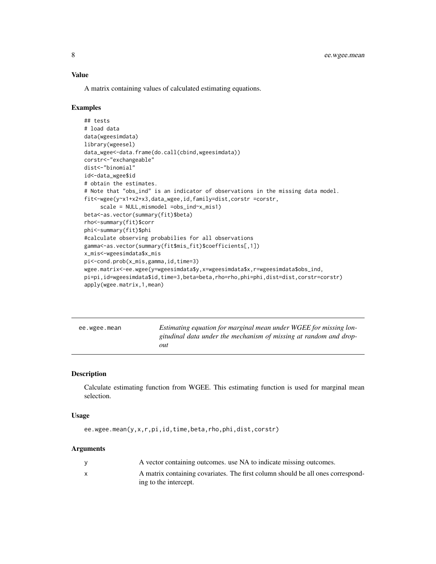#### <span id="page-7-0"></span>Value

A matrix containing values of calculated estimating equations.

#### Examples

```
## tests
# load data
data(wgeesimdata)
library(wgeesel)
data_wgee<-data.frame(do.call(cbind,wgeesimdata))
corstr<-"exchangeable"
dist<-"binomial"
id<-data_wgee$id
# obtain the estimates.
# Note that "obs_ind" is an indicator of observations in the missing data model.
fit<-wgee(y~x1+x2+x3,data_wgee,id,family=dist,corstr =corstr,
     scale = NULL,mismodel =obs_ind~x_mis1)
beta<-as.vector(summary(fit)$beta)
rho<-summary(fit)$corr
phi<-summary(fit)$phi
#calculate observing probabilies for all observations
gamma<-as.vector(summary(fit$mis_fit)$coefficients[,1])
x_mis<-wgeesimdata$x_mis
pi<-cond.prob(x_mis,gamma,id,time=3)
wgee.matrix<-ee.wgee(y=wgeesimdata$y,x=wgeesimdata$x,r=wgeesimdata$obs_ind,
pi=pi,id=wgeesimdata$id,time=3,beta=beta,rho=rho,phi=phi,dist=dist,corstr=corstr)
apply(wgee.matrix,1,mean)
```
<span id="page-7-1"></span>

| ee.wgee.mean | Estimating equation for marginal mean under WGEE for missing lon- |
|--------------|-------------------------------------------------------------------|
|              | gitudinal data under the mechanism of missing at random and drop- |
|              | out                                                               |

#### Description

Calculate estimating function from WGEE. This estimating function is used for marginal mean selection.

#### Usage

ee.wgee.mean(y,x,r,pi,id,time,beta,rho,phi,dist,corstr)

| A vector containing outcomes, use NA to indicate missing outcomes.              |
|---------------------------------------------------------------------------------|
| A matrix containing covariates. The first column should be all ones correspond- |
| ing to the intercept.                                                           |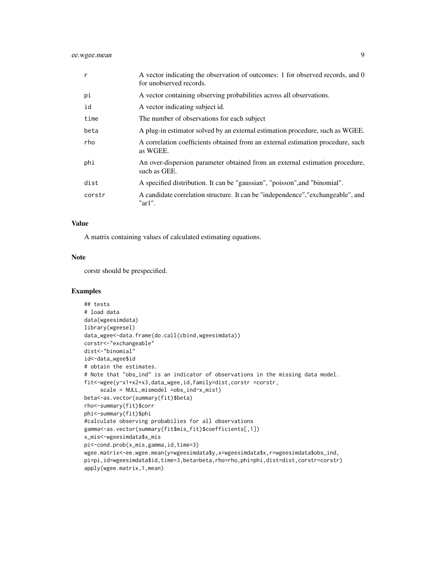#### ee.wgee.mean 9

| r      | A vector indicating the observation of outcomes: 1 for observed records, and 0<br>for unobserved records. |
|--------|-----------------------------------------------------------------------------------------------------------|
| pi     | A vector containing observing probabilities across all observations.                                      |
| id     | A vector indicating subject id.                                                                           |
| time   | The number of observations for each subject                                                               |
| beta   | A plug-in estimator solved by an external estimation procedure, such as WGEE.                             |
| rho    | A correlation coefficients obtained from an external estimation procedure, such<br>as WGEE.               |
| phi    | An over-dispersion parameter obtained from an external estimation procedure,<br>such as GEE.              |
| dist   | A specified distribution. It can be "gaussian", "poisson", and "binomial".                                |
| corstr | A candidate correlation structure. It can be "independence", "exchangeable", and<br>" $ar1$ ".            |

#### Value

A matrix containing values of calculated estimating equations.

#### Note

corstr should be prespecified.

```
## tests
# load data
data(wgeesimdata)
library(wgeesel)
data_wgee<-data.frame(do.call(cbind,wgeesimdata))
corstr<-"exchangeable"
dist<-"binomial"
id<-data_wgee$id
# obtain the estimates.
# Note that "obs_ind" is an indicator of observations in the missing data model.
fit<-wgee(y~x1+x2+x3,data_wgee,id,family=dist,corstr =corstr,
     scale = NULL,mismodel =obs_ind~x_mis1)
beta<-as.vector(summary(fit)$beta)
rho<-summary(fit)$corr
phi<-summary(fit)$phi
#calculate observing probabilies for all observations
gamma<-as.vector(summary(fit$mis_fit)$coefficients[,1])
x_mis<-wgeesimdata$x_mis
pi<-cond.prob(x_mis,gamma,id,time=3)
wgee.matrix<-ee.wgee.mean(y=wgeesimdata$y,x=wgeesimdata$x,r=wgeesimdata$obs_ind,
pi=pi,id=wgeesimdata$id,time=3,beta=beta,rho=rho,phi=phi,dist=dist,corstr=corstr)
apply(wgee.matrix,1,mean)
```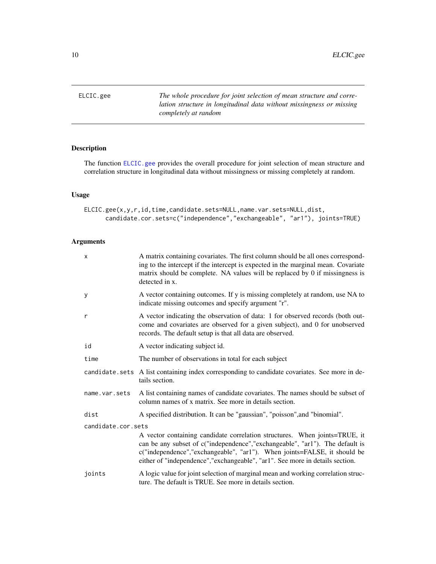<span id="page-9-1"></span><span id="page-9-0"></span>ELCIC.gee *The whole procedure for joint selection of mean structure and correlation structure in longitudinal data without missingness or missing completely at random*

#### Description

The function [ELCIC.gee](#page-9-1) provides the overall procedure for joint selection of mean structure and correlation structure in longitudinal data without missingness or missing completely at random.

#### Usage

```
ELCIC.gee(x,y,r,id,time,candidate.sets=NULL,name.var.sets=NULL,dist,
      candidate.cor.sets=c("independence","exchangeable", "ar1"), joints=TRUE)
```

| $\mathsf{x}$       | A matrix containing covariates. The first column should be all ones correspond-<br>ing to the intercept if the intercept is expected in the marginal mean. Covariate<br>matrix should be complete. NA values will be replaced by 0 if missingness is<br>detected in x.                                                  |  |  |
|--------------------|-------------------------------------------------------------------------------------------------------------------------------------------------------------------------------------------------------------------------------------------------------------------------------------------------------------------------|--|--|
| У                  | A vector containing outcomes. If y is missing completely at random, use NA to<br>indicate missing outcomes and specify argument "r".                                                                                                                                                                                    |  |  |
| $\mathsf{r}$       | A vector indicating the observation of data: 1 for observed records (both out-<br>come and covariates are observed for a given subject), and 0 for unobserved<br>records. The default setup is that all data are observed.                                                                                              |  |  |
| id                 | A vector indicating subject id.                                                                                                                                                                                                                                                                                         |  |  |
| time               | The number of observations in total for each subject                                                                                                                                                                                                                                                                    |  |  |
|                    | candidate.sets A list containing index corresponding to candidate covariates. See more in de-<br>tails section.                                                                                                                                                                                                         |  |  |
| name.var.sets      | A list containing names of candidate covariates. The names should be subset of<br>column names of x matrix. See more in details section.                                                                                                                                                                                |  |  |
| dist               | A specified distribution. It can be "gaussian", "poisson", and "binomial".                                                                                                                                                                                                                                              |  |  |
| candidate.cor.sets |                                                                                                                                                                                                                                                                                                                         |  |  |
|                    | A vector containing candidate correlation structures. When joints=TRUE, it<br>can be any subset of c("independence","exchangeable", "ar1"). The default is<br>c("independence","exchangeable", "ar1"). When joints=FALSE, it should be<br>either of "independence", "exchangeable", "ar1". See more in details section. |  |  |
| joints             | A logic value for joint selection of marginal mean and working correlation struc-<br>ture. The default is TRUE. See more in details section.                                                                                                                                                                            |  |  |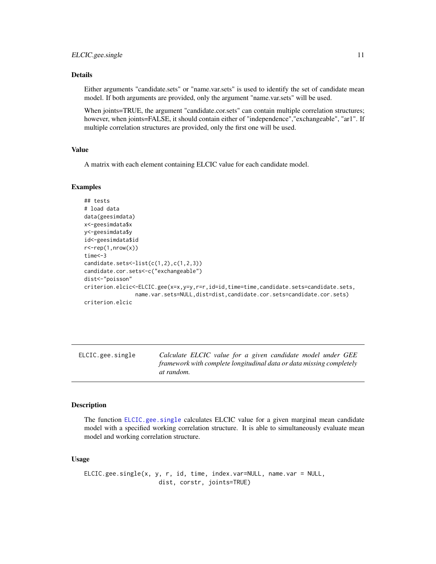#### <span id="page-10-0"></span>Details

Either arguments "candidate.sets" or "name.var.sets" is used to identify the set of candidate mean model. If both arguments are provided, only the argument "name.var.sets" will be used.

When joints=TRUE, the argument "candidate.cor.sets" can contain multiple correlation structures; however, when joints=FALSE, it should contain either of "independence","exchangeable", "ar1". If multiple correlation structures are provided, only the first one will be used.

#### Value

A matrix with each element containing ELCIC value for each candidate model.

#### Examples

```
## tests
# load data
data(geesimdata)
x<-geesimdata$x
y<-geesimdata$y
id<-geesimdata$id
r <-rep(1,nrow(x))
time<-3
candidate.sets \le-list(c(1,2),c(1,2,3))candidate.cor.sets<-c("exchangeable")
dist<-"poisson"
criterion.elcic<-ELCIC.gee(x=x,y=y,r=r,id=id,time=time,candidate.sets=candidate.sets,
                name.var.sets=NULL,dist=dist,candidate.cor.sets=candidate.cor.sets)
criterion.elcic
```
<span id="page-10-1"></span>ELCIC.gee.single *Calculate ELCIC value for a given candidate model under GEE framework with complete longitudinal data or data missing completely at random.*

#### Description

The function [ELCIC.gee.single](#page-10-1) calculates ELCIC value for a given marginal mean candidate model with a specified working correlation structure. It is able to simultaneously evaluate mean model and working correlation structure.

#### Usage

```
ELCIC.gee.single(x, y, r, id, time, index.var=NULL, name.var = NULL,
                     dist, corstr, joints=TRUE)
```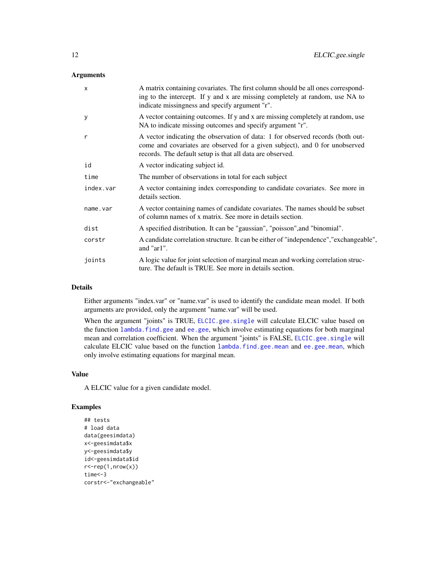#### <span id="page-11-0"></span>Arguments

| $\mathsf{x}$ | A matrix containing covariates. The first column should be all ones correspond-<br>ing to the intercept. If y and x are missing completely at random, use NA to<br>indicate missingness and specify argument "r".          |  |  |
|--------------|----------------------------------------------------------------------------------------------------------------------------------------------------------------------------------------------------------------------------|--|--|
| y            | A vector containing outcomes. If y and x are missing completely at random, use<br>NA to indicate missing outcomes and specify argument "r".                                                                                |  |  |
| $\mathsf{r}$ | A vector indicating the observation of data: 1 for observed records (both out-<br>come and covariates are observed for a given subject), and 0 for unobserved<br>records. The default setup is that all data are observed. |  |  |
| id           | A vector indicating subject id.                                                                                                                                                                                            |  |  |
| time         | The number of observations in total for each subject                                                                                                                                                                       |  |  |
| index.var    | A vector containing index corresponding to candidate covariates. See more in<br>details section.                                                                                                                           |  |  |
| name.var     | A vector containing names of candidate covariates. The names should be subset<br>of column names of x matrix. See more in details section.                                                                                 |  |  |
| dist         | A specified distribution. It can be "gaussian", "poisson", and "binomial".                                                                                                                                                 |  |  |
| corstr       | A candidate correlation structure. It can be either of "independence", "exchangeable",<br>and "ar1".                                                                                                                       |  |  |
| joints       | A logic value for joint selection of marginal mean and working correlation struc-<br>ture. The default is TRUE. See more in details section.                                                                               |  |  |

#### Details

Either arguments "index.var" or "name.var" is used to identify the candidate mean model. If both arguments are provided, only the argument "name.var" will be used.

When the argument "joints" is TRUE, [ELCIC.gee.single](#page-10-1) will calculate ELCIC value based on the function lambda. find.gee and [ee.gee](#page-2-1), which involve estimating equations for both marginal mean and correlation coefficient. When the argument "joints" is FALSE, [ELCIC.gee.single](#page-10-1) will calculate ELCIC value based on the function [lambda.find.gee.mean](#page-23-1) and [ee.gee.mean](#page-4-1), which only involve estimating equations for marginal mean.

#### Value

A ELCIC value for a given candidate model.

```
## tests
# load data
data(geesimdata)
x<-geesimdata$x
y<-geesimdata$y
id<-geesimdata$id
r <-rep(1,nrow(x))
time<-3
corstr<-"exchangeable"
```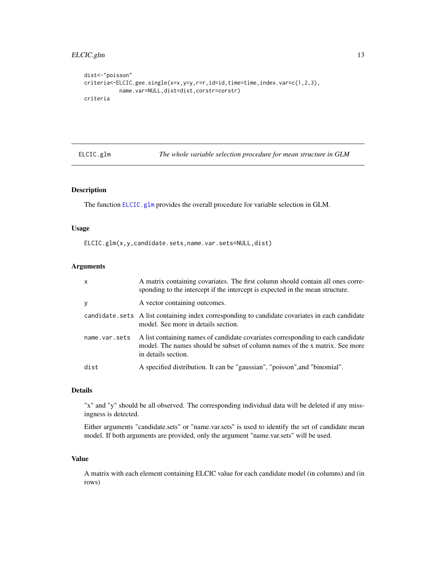#### <span id="page-12-0"></span>ELCIC.glm 13

```
dist<-"poisson"
criteria<-ELCIC.gee.single(x=x,y=y,r=r,id=id,time=time,index.var=c(1,2,3),
          name.var=NULL,dist=dist,corstr=corstr)
criteria
```
<span id="page-12-1"></span>

| ELCIC.glm |  |  |
|-----------|--|--|
|           |  |  |

The whole variable selection procedure for mean structure in GLM

#### Description

The function [ELCIC.glm](#page-12-1) provides the overall procedure for variable selection in GLM.

#### Usage

ELCIC.glm(x,y,candidate.sets,name.var.sets=NULL,dist)

#### Arguments

| $\mathsf{x}$  | A matrix containing covariates. The first column should contain all ones corre-<br>sponding to the intercept if the intercept is expected in the mean structure.                      |
|---------------|---------------------------------------------------------------------------------------------------------------------------------------------------------------------------------------|
| y             | A vector containing outcomes.                                                                                                                                                         |
|               | candidate. sets A list containing index corresponding to candidate covariates in each candidate<br>model. See more in details section.                                                |
| name.var.sets | A list containing names of candidate covariates corresponding to each candidate<br>model. The names should be subset of column names of the x matrix. See more<br>in details section. |
| dist          | A specified distribution. It can be "gaussian", "poisson", and "binomial".                                                                                                            |

#### Details

"x" and "y" should be all observed. The corresponding individual data will be deleted if any missingness is detected.

Either arguments "candidate.sets" or "name.var.sets" is used to identify the set of candidate mean model. If both arguments are provided, only the argument "name.var.sets" will be used.

#### Value

A matrix with each element containing ELCIC value for each candidate model (in columns) and (in rows)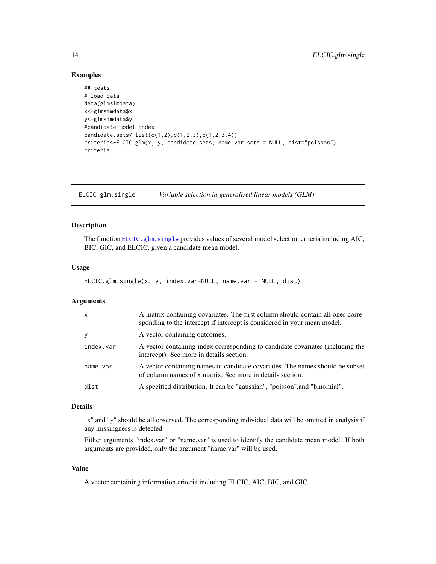#### Examples

```
## tests
# load data
data(glmsimdata)
x<-glmsimdata$x
y<-glmsimdata$y
#candidate model index
candidate.sets<-list(c(1,2),c(1,2,3),c(1,2,3,4))
criteria<-ELCIC.glm(x, y, candidate.sets, name.var.sets = NULL, dist="poisson")
criteria
```
<span id="page-13-1"></span>ELCIC.glm.single *Variable selection in generalized linear models (GLM)*

#### Description

The function [ELCIC.glm.single](#page-13-1) provides values of several model selection criteria including AIC, BIC, GIC, and ELCIC, given a candidate mean model.

#### Usage

```
ELCIC.glm.single(x, y, index.var=NULL, name.var = NULL, dist)
```
#### **Arguments**

| $\mathsf{x}$ | A matrix containing covariates. The first column should contain all ones corre-<br>sponding to the intercept if intercept is considered in your mean model. |
|--------------|-------------------------------------------------------------------------------------------------------------------------------------------------------------|
| <b>y</b>     | A vector containing outcomes.                                                                                                                               |
| index.var    | A vector containing index corresponding to candidate covariates (including the<br>intercept). See more in details section.                                  |
| name.var     | A vector containing names of candidate covariates. The names should be subset<br>of column names of x matrix. See more in details section.                  |
| dist         | A specified distribution. It can be "gaussian", "poisson", and "binomial".                                                                                  |

#### Details

"x" and "y" should be all observed. The corresponding individual data will be omitted in analysis if any missingness is detected.

Either arguments "index.var" or "name.var" is used to identify the candidate mean model. If both arguments are provided, only the argument "name.var" will be used.

#### Value

A vector containing information criteria including ELCIC, AIC, BIC, and GIC.

<span id="page-13-0"></span>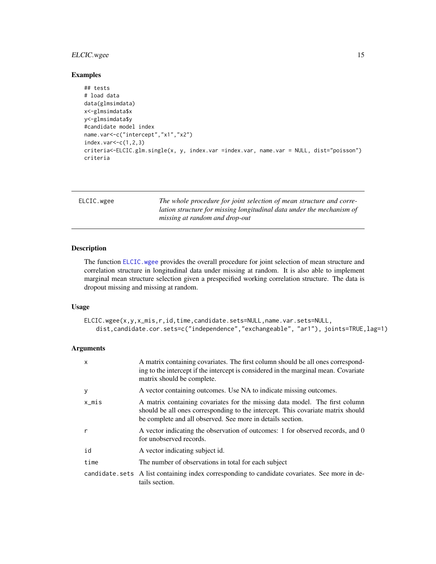#### <span id="page-14-0"></span>ELCIC.wgee 15

#### Examples

```
## tests
# load data
data(glmsimdata)
x<-glmsimdata$x
y<-glmsimdata$y
#candidate model index
name.var<-c("intercept","x1","x2")
index.var < -c(1,2,3)criteria<-ELCIC.glm.single(x, y, index.var =index.var, name.var = NULL, dist="poisson")
criteria
```
<span id="page-14-1"></span>

| ELCIC.wgee | The whole procedure for joint selection of mean structure and corre-<br>lation structure for missing longitudinal data under the mechanism of<br>missing at random and drop-out |
|------------|---------------------------------------------------------------------------------------------------------------------------------------------------------------------------------|
|            |                                                                                                                                                                                 |

#### Description

The function ELCIC. wgee provides the overall procedure for joint selection of mean structure and correlation structure in longitudinal data under missing at random. It is also able to implement marginal mean structure selection given a prespecified working correlation structure. The data is dropout missing and missing at random.

#### Usage

```
ELCIC.wgee(x,y,x_mis,r,id,time,candidate.sets=NULL,name.var.sets=NULL,
   dist,candidate.cor.sets=c("independence","exchangeable", "ar1"), joints=TRUE,lag=1)
```

| X     | A matrix containing covariates. The first column should be all ones correspond-<br>ing to the intercept if the intercept is considered in the marginal mean. Covariate<br>matrix should be complete.                         |
|-------|------------------------------------------------------------------------------------------------------------------------------------------------------------------------------------------------------------------------------|
| у     | A vector containing outcomes. Use NA to indicate missing outcomes.                                                                                                                                                           |
| x_mis | A matrix containing covariates for the missing data model. The first column<br>should be all ones corresponding to the intercept. This covariate matrix should<br>be complete and all observed. See more in details section. |
| r     | A vector indicating the observation of outcomes: 1 for observed records, and 0<br>for unobserved records.                                                                                                                    |
| id    | A vector indicating subject id.                                                                                                                                                                                              |
| time  | The number of observations in total for each subject                                                                                                                                                                         |
|       | candidate. sets A list containing index corresponding to candidate covariates. See more in de-<br>tails section.                                                                                                             |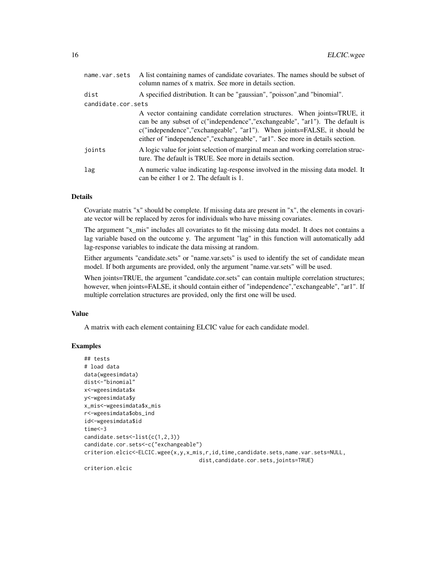| name.var.sets      | A list containing names of candidate covariates. The names should be subset of<br>column names of x matrix. See more in details section.                                                                                                                                                                                    |
|--------------------|-----------------------------------------------------------------------------------------------------------------------------------------------------------------------------------------------------------------------------------------------------------------------------------------------------------------------------|
| dist               | A specified distribution. It can be "gaussian", "poisson", and "binomial".                                                                                                                                                                                                                                                  |
| candidate.cor.sets |                                                                                                                                                                                                                                                                                                                             |
|                    | A vector containing candidate correlation structures. When joints=TRUE, it<br>can be any subset of c("independence", "exchangeable", "ar1"). The default is<br>$c("independence", "exchangeable", "ar1").$ When joints=FALSE, it should be<br>either of "independence", "exchangeable", "ar1". See more in details section. |
| joints             | A logic value for joint selection of marginal mean and working correlation struc-<br>ture. The default is TRUE. See more in details section.                                                                                                                                                                                |
| lag                | A numeric value indicating lag-response involved in the missing data model. It<br>can be either 1 or 2. The default is 1.                                                                                                                                                                                                   |

#### Details

Covariate matrix "x" should be complete. If missing data are present in "x", the elements in covariate vector will be replaced by zeros for individuals who have missing covariates.

The argument "x\_mis" includes all covariates to fit the missing data model. It does not contains a lag variable based on the outcome y. The argument "lag" in this function will automatically add lag-response variables to indicate the data missing at random.

Either arguments "candidate.sets" or "name.var.sets" is used to identify the set of candidate mean model. If both arguments are provided, only the argument "name.var.sets" will be used.

When joints=TRUE, the argument "candidate.cor.sets" can contain multiple correlation structures; however, when joints=FALSE, it should contain either of "independence","exchangeable", "ar1". If multiple correlation structures are provided, only the first one will be used.

#### Value

A matrix with each element containing ELCIC value for each candidate model.

```
## tests
# load data
data(wgeesimdata)
dist<-"binomial"
x<-wgeesimdata$x
y<-wgeesimdata$y
x_mis<-wgeesimdata$x_mis
r<-wgeesimdata$obs_ind
id<-wgeesimdata$id
time<-3
candidate.sets<-list(c(1,2,3))
candidate.cor.sets<-c("exchangeable")
criterion.elcic<-ELCIC.wgee(x,y,x_mis,r,id,time,candidate.sets,name.var.sets=NULL,
                                    dist,candidate.cor.sets,joints=TRUE)
criterion.elcic
```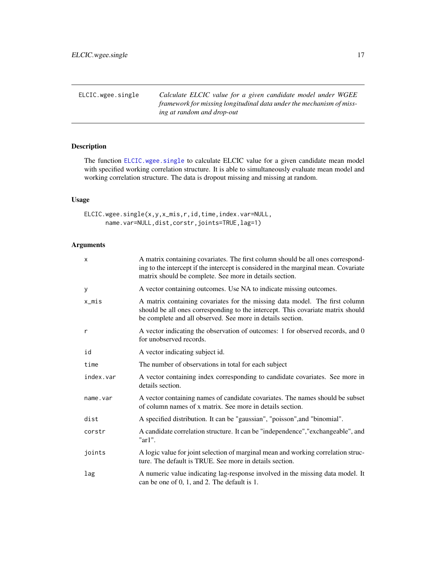<span id="page-16-1"></span><span id="page-16-0"></span>

| ELCIC.wgee.single | Calculate ELCIC value for a given candidate model under WGEE         |
|-------------------|----------------------------------------------------------------------|
|                   | framework for missing longitudinal data under the mechanism of miss- |
|                   | ing at random and drop-out                                           |

## Description

The function [ELCIC.wgee.single](#page-16-1) to calculate ELCIC value for a given candidate mean model with specified working correlation structure. It is able to simultaneously evaluate mean model and working correlation structure. The data is dropout missing and missing at random.

#### Usage

ELCIC.wgee.single(x,y,x\_mis,r,id,time,index.var=NULL, name.var=NULL,dist,corstr,joints=TRUE,lag=1)

| x         | A matrix containing covariates. The first column should be all ones correspond-<br>ing to the intercept if the intercept is considered in the marginal mean. Covariate<br>matrix should be complete. See more in details section. |
|-----------|-----------------------------------------------------------------------------------------------------------------------------------------------------------------------------------------------------------------------------------|
| У         | A vector containing outcomes. Use NA to indicate missing outcomes.                                                                                                                                                                |
| x_mis     | A matrix containing covariates for the missing data model. The first column<br>should be all ones corresponding to the intercept. This covariate matrix should<br>be complete and all observed. See more in details section.      |
| r         | A vector indicating the observation of outcomes: 1 for observed records, and 0<br>for unobserved records.                                                                                                                         |
| id        | A vector indicating subject id.                                                                                                                                                                                                   |
| time      | The number of observations in total for each subject                                                                                                                                                                              |
| index.var | A vector containing index corresponding to candidate covariates. See more in<br>details section.                                                                                                                                  |
| name.var  | A vector containing names of candidate covariates. The names should be subset<br>of column names of x matrix. See more in details section.                                                                                        |
| dist      | A specified distribution. It can be "gaussian", "poisson", and "binomial".                                                                                                                                                        |
| corstr    | A candidate correlation structure. It can be "independence", "exchangeable", and<br>" $ar1$ ".                                                                                                                                    |
| joints    | A logic value for joint selection of marginal mean and working correlation struc-<br>ture. The default is TRUE. See more in details section.                                                                                      |
| lag       | A numeric value indicating lag-response involved in the missing data model. It<br>can be one of 0, 1, and 2. The default is 1.                                                                                                    |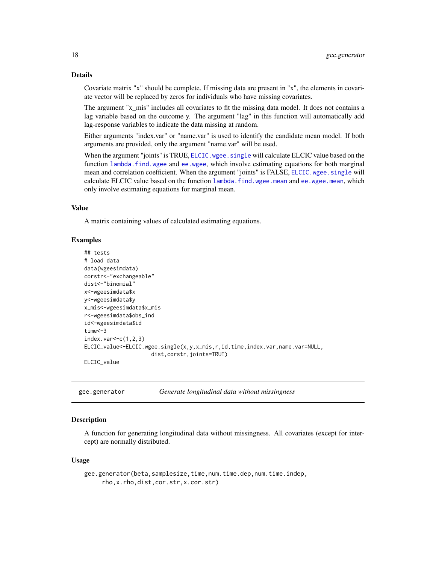#### Details

Covariate matrix "x" should be complete. If missing data are present in "x", the elements in covariate vector will be replaced by zeros for individuals who have missing covariates.

The argument "x\_mis" includes all covariates to fit the missing data model. It does not contains a lag variable based on the outcome y. The argument "lag" in this function will automatically add lag-response variables to indicate the data missing at random.

Either arguments "index.var" or "name.var" is used to identify the candidate mean model. If both arguments are provided, only the argument "name.var" will be used.

When the argument "joints" is TRUE, [ELCIC.wgee.single](#page-16-1) will calculate ELCIC value based on the function [lambda.find.wgee](#page-25-1) and [ee.wgee](#page-6-1), which involve estimating equations for both marginal mean and correlation coefficient. When the argument "joints" is FALSE, [ELCIC.wgee.single](#page-16-1) will calculate ELCIC value based on the function [lambda.find.wgee.mean](#page-27-1) and [ee.wgee.mean](#page-7-1), which only involve estimating equations for marginal mean.

#### Value

A matrix containing values of calculated estimating equations.

#### Examples

```
## tests
# load data
data(wgeesimdata)
corstr<-"exchangeable"
dist<-"binomial"
x<-wgeesimdata$x
y<-wgeesimdata$y
x_mis<-wgeesimdata$x_mis
r<-wgeesimdata$obs_ind
id<-wgeesimdata$id
time<-3
index.var<-c(1,2,3)
ELCIC_value<-ELCIC.wgee.single(x,y,x_mis,r,id,time,index.var,name.var=NULL,
                     dist,corstr,joints=TRUE)
ELCIC_value
```
gee.generator *Generate longitudinal data without missingness*

#### Description

A function for generating longitudinal data without missingness. All covariates (except for intercept) are normally distributed.

#### Usage

```
gee.generator(beta,samplesize,time,num.time.dep,num.time.indep,
    rho,x.rho,dist,cor.str,x.cor.str)
```
<span id="page-17-0"></span>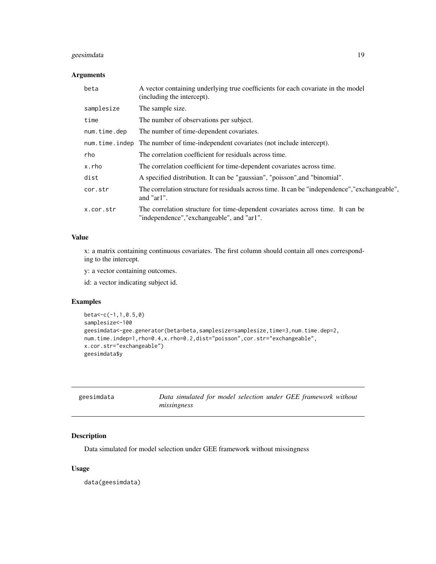#### <span id="page-18-0"></span>geesimdata 19

#### Arguments

| beta         | A vector containing underlying true coefficients for each covariate in the model<br>(including the intercept).               |
|--------------|------------------------------------------------------------------------------------------------------------------------------|
| samplesize   | The sample size.                                                                                                             |
| time         | The number of observations per subject.                                                                                      |
| num.time.dep | The number of time-dependent covariates.                                                                                     |
|              | num. time. indep The number of time-independent covariates (not include intercept).                                          |
| rho          | The correlation coefficient for residuals across time.                                                                       |
| x.rho        | The correlation coefficient for time-dependent covariates across time.                                                       |
| dist         | A specified distribution. It can be "gaussian", "poisson", and "binomial".                                                   |
| cor.str      | The correlation structure for residuals across time. It can be "independence", "exchangeable",<br>and " $ar1$ ".             |
| x.cor.str    | The correlation structure for time-dependent covariates across time. It can be<br>"independence", "exchangeable", and "ar1". |

#### Value

x: a matrix containing continuous covariates. The first column should contain all ones corresponding to the intercept.

y: a vector containing outcomes.

id: a vector indicating subject id.

#### Examples

```
beta<-c(-1,1,0.5,0)
samplesize<-100
geesimdata<-gee.generator(beta=beta,samplesize=samplesize,time=3,num.time.dep=2,
num.time.indep=1,rho=0.4,x.rho=0.2,dist="poisson",cor.str="exchangeable",
x.cor.str="exchangeable")
geesimdata$y
```

| geesimdata | Data simulated for model selection under GEE framework without |
|------------|----------------------------------------------------------------|
|            | missingness                                                    |

#### Description

Data simulated for model selection under GEE framework without missingness

#### Usage

data(geesimdata)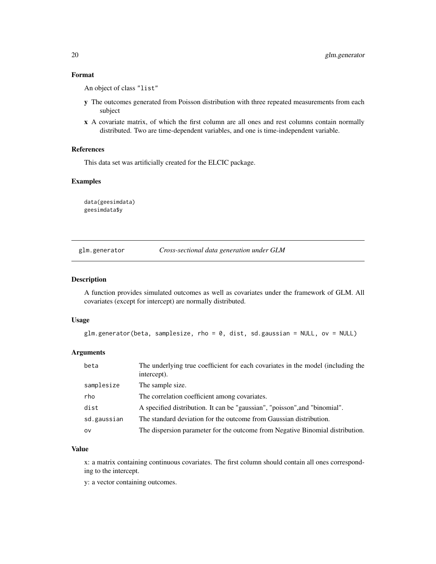#### Format

An object of class "list"

- y The outcomes generated from Poisson distribution with three repeated measurements from each subject
- x A covariate matrix, of which the first column are all ones and rest columns contain normally distributed. Two are time-dependent variables, and one is time-independent variable.

#### References

This data set was artificially created for the ELCIC package.

#### Examples

data(geesimdata) geesimdata\$y

|  | glm.generator | Cross-sectional data generation under GLM |  |  |
|--|---------------|-------------------------------------------|--|--|
|--|---------------|-------------------------------------------|--|--|

#### Description

A function provides simulated outcomes as well as covariates under the framework of GLM. All covariates (except for intercept) are normally distributed.

#### Usage

```
glm.generator(beta, samplesize, rho = 0, dist, sd.gaussian = NULL, ov = NULL)
```
#### Arguments

| beta        | The underlying true coefficient for each covariates in the model (including the<br>intercept). |
|-------------|------------------------------------------------------------------------------------------------|
| samplesize  | The sample size.                                                                               |
| rho         | The correlation coefficient among covariates.                                                  |
| dist        | A specified distribution. It can be "gaussian", "poisson", and "binomial".                     |
| sd.gaussian | The standard deviation for the outcome from Gaussian distribution.                             |
| ov          | The dispersion parameter for the outcome from Negative Binomial distribution.                  |

#### Value

x: a matrix containing continuous covariates. The first column should contain all ones corresponding to the intercept.

y: a vector containing outcomes.

<span id="page-19-0"></span>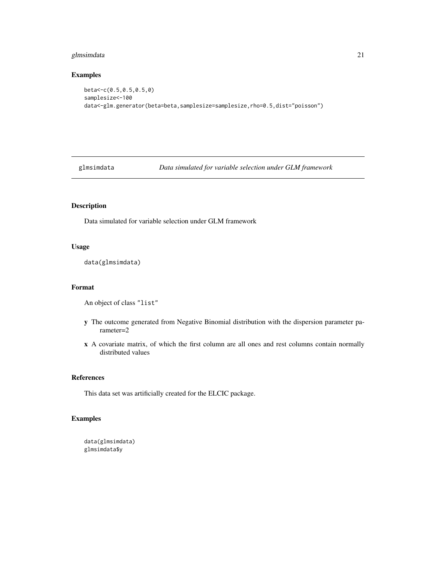#### <span id="page-20-0"></span>glmsimdata 21

#### Examples

```
beta<-c(0.5,0.5,0.5,0)
samplesize<-100
data<-glm.generator(beta=beta,samplesize=samplesize,rho=0.5,dist="poisson")
```
glmsimdata *Data simulated for variable selection under GLM framework*

#### Description

Data simulated for variable selection under GLM framework

#### Usage

```
data(glmsimdata)
```
#### Format

An object of class "list"

- y The outcome generated from Negative Binomial distribution with the dispersion parameter parameter=2
- x A covariate matrix, of which the first column are all ones and rest columns contain normally distributed values

#### References

This data set was artificially created for the ELCIC package.

```
data(glmsimdata)
glmsimdata$y
```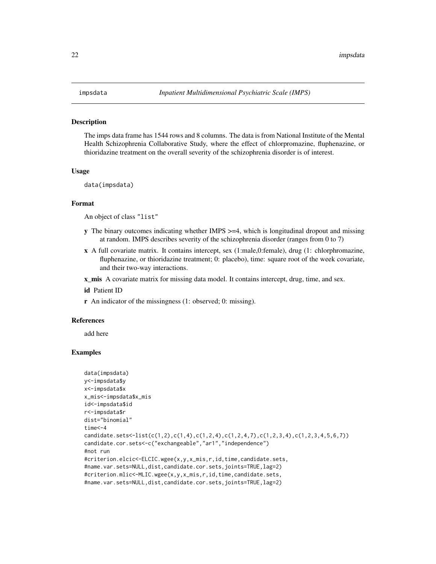#### <span id="page-21-0"></span>Description

The imps data frame has 1544 rows and 8 columns. The data is from National Institute of the Mental Health Schizophrenia Collaborative Study, where the effect of chlorpromazine, fluphenazine, or thioridazine treatment on the overall severity of the schizophrenia disorder is of interest.

#### Usage

```
data(impsdata)
```
#### Format

An object of class "list"

- y The binary outcomes indicating whether IMPS >=4, which is longitudinal dropout and missing at random. IMPS describes severity of the schizophrenia disorder (ranges from 0 to 7)
- x A full covariate matrix. It contains intercept, sex (1:male,0:female), drug (1: chlorphromazine, fluphenazine, or thioridazine treatment; 0: placebo), time: square root of the week covariate, and their two-way interactions.
- **x\_mis** A covariate matrix for missing data model. It contains intercept, drug, time, and sex.

id Patient ID

r An indicator of the missingness (1: observed; 0: missing).

#### References

add here

```
data(impsdata)
y<-impsdata$y
x<-impsdata$x
x_mis<-impsdata$x_mis
id<-impsdata$id
r<-impsdata$r
dist="binomial"
time<-4
candidate.sets<-list(c(1,2),c(1,4),c(1,2,4),c(1,2,4,7),c(1,2,3,4),c(1,2,3,4,5,6,7))
candidate.cor.sets<-c("exchangeable","ar1","independence")
#not run
#criterion.elcic<-ELCIC.wgee(x,y,x_mis,r,id,time,candidate.sets,
#name.var.sets=NULL,dist,candidate.cor.sets,joints=TRUE,lag=2)
#criterion.mlic<-MLIC.wgee(x,y,x_mis,r,id,time,candidate.sets,
#name.var.sets=NULL,dist,candidate.cor.sets,joints=TRUE,lag=2)
```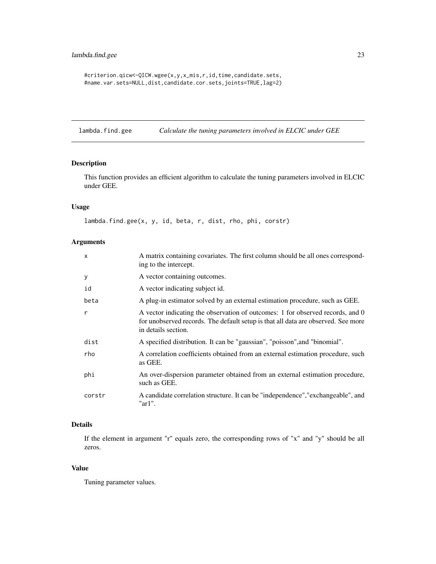#### <span id="page-22-0"></span>lambda.find.gee 23

```
#criterion.qicw<-QICW.wgee(x,y,x_mis,r,id,time,candidate.sets,
#name.var.sets=NULL,dist,candidate.cor.sets,joints=TRUE,lag=2)
```
<span id="page-22-1"></span>lambda.find.gee *Calculate the tuning parameters involved in ELCIC under GEE*

#### Description

This function provides an efficient algorithm to calculate the tuning parameters involved in ELCIC under GEE.

#### Usage

lambda.find.gee(x, y, id, beta, r, dist, rho, phi, corstr)

#### Arguments

| $\mathsf{x}$ | A matrix containing covariates. The first column should be all ones correspond-<br>ing to the intercept.                                                                                   |
|--------------|--------------------------------------------------------------------------------------------------------------------------------------------------------------------------------------------|
| У            | A vector containing outcomes.                                                                                                                                                              |
| id           | A vector indicating subject id.                                                                                                                                                            |
| beta         | A plug-in estimator solved by an external estimation procedure, such as GEE.                                                                                                               |
| $\mathsf{r}$ | A vector indicating the observation of outcomes: 1 for observed records, and 0<br>for unobserved records. The default setup is that all data are observed. See more<br>in details section. |
| dist         | A specified distribution. It can be "gaussian", "poisson", and "binomial".                                                                                                                 |
| rho          | A correlation coefficients obtained from an external estimation procedure, such<br>as GEE.                                                                                                 |
| phi          | An over-dispersion parameter obtained from an external estimation procedure,<br>such as GEE.                                                                                               |
| corstr       | A candidate correlation structure. It can be "independence", "exchangeable", and<br>"ar1".                                                                                                 |

#### Details

If the element in argument "r" equals zero, the corresponding rows of "x" and "y" should be all zeros.

#### Value

Tuning parameter values.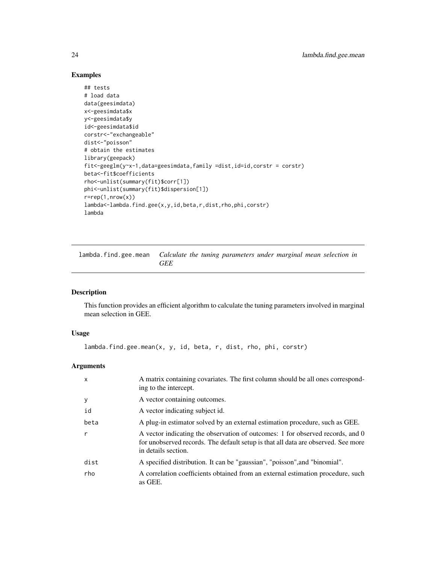#### Examples

```
## tests
# load data
data(geesimdata)
x<-geesimdata$x
y<-geesimdata$y
id<-geesimdata$id
corstr<-"exchangeable"
dist<-"poisson"
# obtain the estimates
library(geepack)
fit<-geeglm(y~x-1,data=geesimdata,family =dist,id=id,corstr = corstr)
beta<-fit$coefficients
rho<-unlist(summary(fit)$corr[1])
phi<-unlist(summary(fit)$dispersion[1])
r=rep(1,nrow(x))lambda<-lambda.find.gee(x,y,id,beta,r,dist,rho,phi,corstr)
lambda
```
<span id="page-23-1"></span>lambda.find.gee.mean *Calculate the tuning parameters under marginal mean selection in GEE*

#### Description

This function provides an efficient algorithm to calculate the tuning parameters involved in marginal mean selection in GEE.

#### Usage

```
lambda.find.gee.mean(x, y, id, beta, r, dist, rho, phi, corstr)
```

| $\mathsf{x}$ | A matrix containing covariates. The first column should be all ones correspond-<br>ing to the intercept.                                                                                   |
|--------------|--------------------------------------------------------------------------------------------------------------------------------------------------------------------------------------------|
| У            | A vector containing outcomes.                                                                                                                                                              |
| id           | A vector indicating subject id.                                                                                                                                                            |
| beta         | A plug-in estimator solved by an external estimation procedure, such as GEE.                                                                                                               |
| r            | A vector indicating the observation of outcomes: 1 for observed records, and 0<br>for unobserved records. The default setup is that all data are observed. See more<br>in details section. |
| dist         | A specified distribution. It can be "gaussian", "poisson", and "binomial".                                                                                                                 |
| rho          | A correlation coefficients obtained from an external estimation procedure, such<br>as GEE.                                                                                                 |

<span id="page-23-0"></span>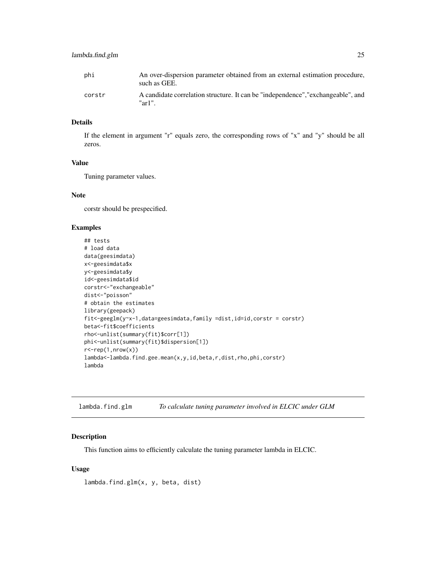<span id="page-24-0"></span>

| phi    | An over-dispersion parameter obtained from an external estimation procedure,<br>such as GEE. |
|--------|----------------------------------------------------------------------------------------------|
| corstr | A candidate correlation structure. It can be "independence", "exchangeable", and<br>"ar1".   |

#### Details

If the element in argument "r" equals zero, the corresponding rows of "x" and "y" should be all zeros.

#### Value

Tuning parameter values.

#### Note

corstr should be prespecified.

#### Examples

```
## tests
# load data
data(geesimdata)
x<-geesimdata$x
y<-geesimdata$y
id<-geesimdata$id
corstr<-"exchangeable"
dist<-"poisson"
# obtain the estimates
library(geepack)
fit<-geeglm(y~x-1,data=geesimdata,family =dist,id=id,corstr = corstr)
beta<-fit$coefficients
rho<-unlist(summary(fit)$corr[1])
phi<-unlist(summary(fit)$dispersion[1])
r <-rep(1,nrow(x))
lambda<-lambda.find.gee.mean(x,y,id,beta,r,dist,rho,phi,corstr)
lambda
```
lambda.find.glm *To calculate tuning parameter involved in ELCIC under GLM*

#### Description

This function aims to efficiently calculate the tuning parameter lambda in ELCIC.

#### Usage

lambda.find.glm(x, y, beta, dist)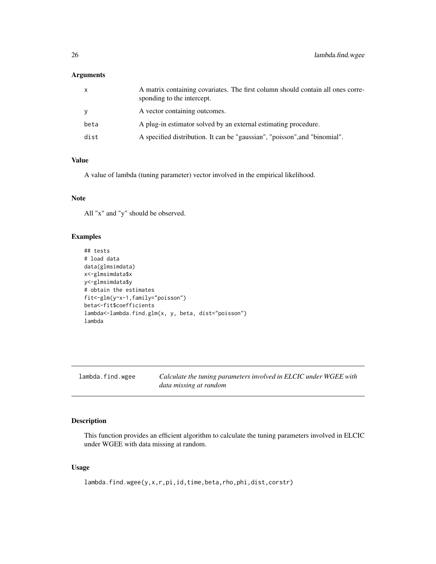#### <span id="page-25-0"></span>Arguments

| X    | A matrix containing covariates. The first column should contain all ones corre-<br>sponding to the intercept. |
|------|---------------------------------------------------------------------------------------------------------------|
| У    | A vector containing outcomes.                                                                                 |
| beta | A plug-in estimator solved by an external estimating procedure.                                               |
| dist | A specified distribution. It can be "gaussian", "poisson", and "binomial".                                    |

#### Value

A value of lambda (tuning parameter) vector involved in the empirical likelihood.

#### Note

All "x" and "y" should be observed.

#### Examples

```
## tests
# load data
data(glmsimdata)
x<-glmsimdata$x
y<-glmsimdata$y
# obtain the estimates
fit<-glm(y~x-1,family="poisson")
beta<-fit$coefficients
lambda<-lambda.find.glm(x, y, beta, dist="poisson")
lambda
```
<span id="page-25-1"></span>lambda.find.wgee *Calculate the tuning parameters involved in ELCIC under WGEE with data missing at random*

#### Description

This function provides an efficient algorithm to calculate the tuning parameters involved in ELCIC under WGEE with data missing at random.

#### Usage

lambda.find.wgee(y,x,r,pi,id,time,beta,rho,phi,dist,corstr)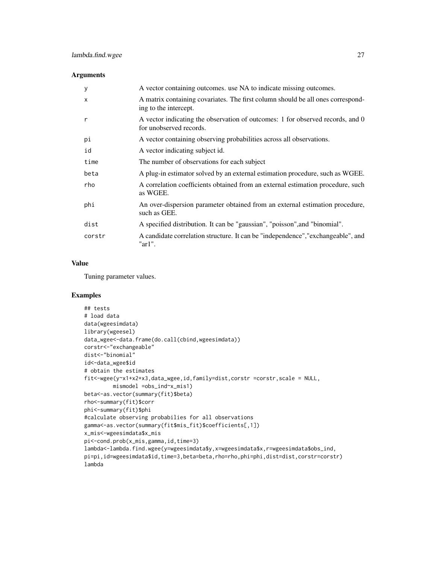#### Arguments

| У            | A vector containing outcomes, use NA to indicate missing outcomes.                                        |
|--------------|-----------------------------------------------------------------------------------------------------------|
| $\mathsf{x}$ | A matrix containing covariates. The first column should be all ones correspond-<br>ing to the intercept.  |
| r            | A vector indicating the observation of outcomes: 1 for observed records, and 0<br>for unobserved records. |
| рi           | A vector containing observing probabilities across all observations.                                      |
| id           | A vector indicating subject id.                                                                           |
| time         | The number of observations for each subject                                                               |
| beta         | A plug-in estimator solved by an external estimation procedure, such as WGEE.                             |
| rho          | A correlation coefficients obtained from an external estimation procedure, such<br>as WGEE.               |
| phi          | An over-dispersion parameter obtained from an external estimation procedure,<br>such as GEE.              |
| dist         | A specified distribution. It can be "gaussian", "poisson", and "binomial".                                |
| corstr       | A candidate correlation structure. It can be "independence", "exchangeable", and<br>" $ar1$ ".            |

#### Value

Tuning parameter values.

```
## tests
# load data
data(wgeesimdata)
library(wgeesel)
data_wgee<-data.frame(do.call(cbind,wgeesimdata))
corstr<-"exchangeable"
dist<-"binomial"
id<-data_wgee$id
# obtain the estimates
fit<-wgee(y~x1+x2+x3,data_wgee,id,family=dist,corstr =corstr,scale = NULL,
        mismodel =obs_ind~x_mis1)
beta<-as.vector(summary(fit)$beta)
rho<-summary(fit)$corr
phi<-summary(fit)$phi
#calculate observing probabilies for all observations
gamma<-as.vector(summary(fit$mis_fit)$coefficients[,1])
x_mis<-wgeesimdata$x_mis
pi<-cond.prob(x_mis,gamma,id,time=3)
lambda<-lambda.find.wgee(y=wgeesimdata$y,x=wgeesimdata$x,r=wgeesimdata$obs_ind,
pi=pi,id=wgeesimdata$id,time=3,beta=beta,rho=rho,phi=phi,dist=dist,corstr=corstr)
lambda
```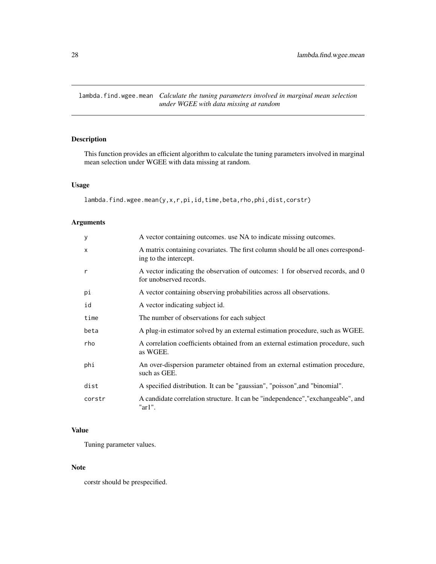<span id="page-27-1"></span><span id="page-27-0"></span>lambda.find.wgee.mean *Calculate the tuning parameters involved in marginal mean selection under WGEE with data missing at random*

#### Description

This function provides an efficient algorithm to calculate the tuning parameters involved in marginal mean selection under WGEE with data missing at random.

#### Usage

```
lambda.find.wgee.mean(y,x,r,pi,id,time,beta,rho,phi,dist,corstr)
```
#### Arguments

| У            | A vector containing outcomes, use NA to indicate missing outcomes.                                        |
|--------------|-----------------------------------------------------------------------------------------------------------|
| $\times$     | A matrix containing covariates. The first column should be all ones correspond-<br>ing to the intercept.  |
| $\mathsf{r}$ | A vector indicating the observation of outcomes: 1 for observed records, and 0<br>for unobserved records. |
| pi           | A vector containing observing probabilities across all observations.                                      |
| id           | A vector indicating subject id.                                                                           |
| time         | The number of observations for each subject                                                               |
| beta         | A plug-in estimator solved by an external estimation procedure, such as WGEE.                             |
| rho          | A correlation coefficients obtained from an external estimation procedure, such<br>as WGEE.               |
| phi          | An over-dispersion parameter obtained from an external estimation procedure,<br>such as GEE.              |
| dist         | A specified distribution. It can be "gaussian", "poisson", and "binomial".                                |
| corstr       | A candidate correlation structure. It can be "independence", "exchangeable", and<br>"ar1".                |

#### Value

Tuning parameter values.

#### Note

corstr should be prespecified.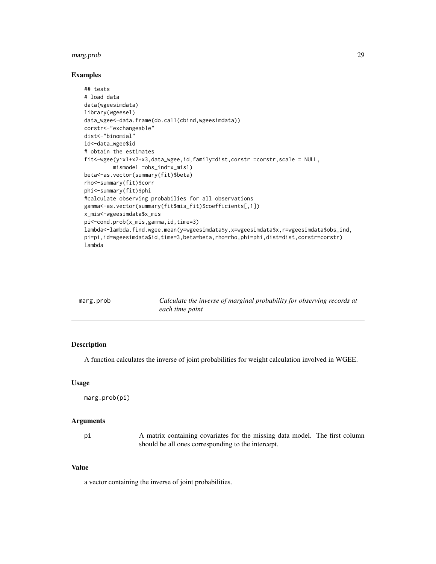#### <span id="page-28-0"></span>marg.prob 29

#### Examples

```
## tests
# load data
data(wgeesimdata)
library(wgeesel)
data_wgee<-data.frame(do.call(cbind,wgeesimdata))
corstr<-"exchangeable"
dist<-"binomial"
id<-data_wgee$id
# obtain the estimates
fit<-wgee(y~x1+x2+x3,data_wgee,id,family=dist,corstr =corstr,scale = NULL,
        mismodel =obs_ind~x_mis1)
beta<-as.vector(summary(fit)$beta)
rho<-summary(fit)$corr
phi<-summary(fit)$phi
#calculate observing probabilies for all observations
gamma<-as.vector(summary(fit$mis_fit)$coefficients[,1])
x_mis<-wgeesimdata$x_mis
pi<-cond.prob(x_mis,gamma,id,time=3)
lambda<-lambda.find.wgee.mean(y=wgeesimdata$y,x=wgeesimdata$x,r=wgeesimdata$obs_ind,
pi=pi,id=wgeesimdata$id,time=3,beta=beta,rho=rho,phi=phi,dist=dist,corstr=corstr)
lambda
```

| marg.prob | Calculate the inverse of marginal probability for observing records at |
|-----------|------------------------------------------------------------------------|
|           | each time point                                                        |

#### Description

A function calculates the inverse of joint probabilities for weight calculation involved in WGEE.

#### Usage

```
marg.prob(pi)
```
#### Arguments

pi A matrix containing covariates for the missing data model. The first column should be all ones corresponding to the intercept.

#### Value

a vector containing the inverse of joint probabilities.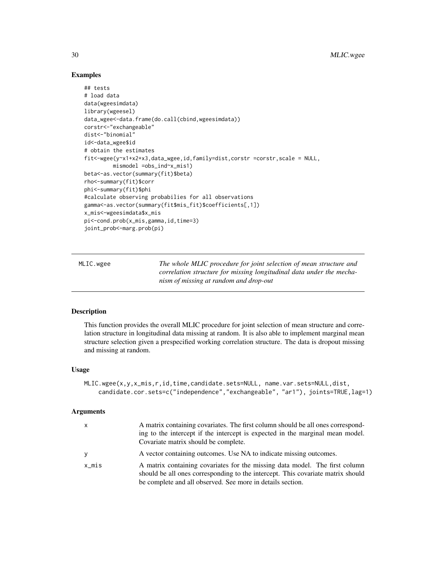#### Examples

```
## tests
# load data
data(wgeesimdata)
library(wgeesel)
data_wgee<-data.frame(do.call(cbind,wgeesimdata))
corstr<-"exchangeable"
dist<-"binomial"
id<-data_wgee$id
# obtain the estimates
fit<-wgee(y~x1+x2+x3,data_wgee,id,family=dist,corstr =corstr,scale = NULL,
         mismodel =obs_ind~x_mis1)
beta<-as.vector(summary(fit)$beta)
rho<-summary(fit)$corr
phi<-summary(fit)$phi
#calculate observing probabilies for all observations
gamma<-as.vector(summary(fit$mis_fit)$coefficients[,1])
x_mis<-wgeesimdata$x_mis
pi<-cond.prob(x_mis,gamma,id,time=3)
joint_prob<-marg.prob(pi)
```
MLIC.wgee *The whole MLIC procedure for joint selection of mean structure and correlation structure for missing longitudinal data under the mechanism of missing at random and drop-out*

#### Description

This function provides the overall MLIC procedure for joint selection of mean structure and correlation structure in longitudinal data missing at random. It is also able to implement marginal mean structure selection given a prespecified working correlation structure. The data is dropout missing and missing at random.

#### Usage

```
MLIC.wgee(x,y,x_mis,r,id,time,candidate.sets=NULL, name.var.sets=NULL,dist,
   candidate.cor.sets=c("independence","exchangeable", "ar1"), joints=TRUE,lag=1)
```

| X        | A matrix containing covariates. The first column should be all ones correspond- |
|----------|---------------------------------------------------------------------------------|
|          | ing to the intercept if the intercept is expected in the marginal mean model.   |
|          | Covariate matrix should be complete.                                            |
| V        | A vector containing outcomes. Use NA to indicate missing outcomes.              |
| $x_m$ is | A matrix containing covariates for the missing data model. The first column     |
|          | should be all ones corresponding to the intercept. This covariate matrix should |
|          | be complete and all observed. See more in details section.                      |

<span id="page-29-0"></span>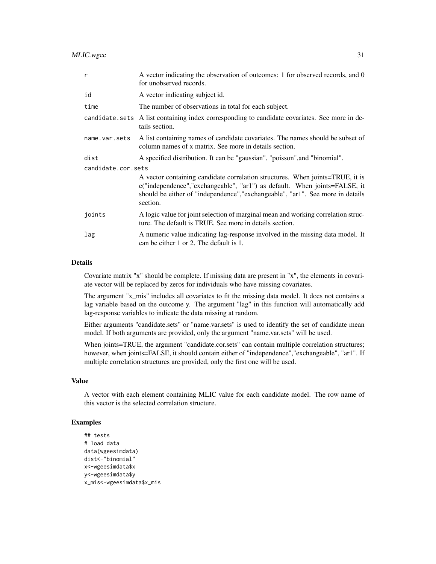| $\mathsf{r}$       | A vector indicating the observation of outcomes: 1 for observed records, and 0<br>for unobserved records.                                                                                                                                                   |  |
|--------------------|-------------------------------------------------------------------------------------------------------------------------------------------------------------------------------------------------------------------------------------------------------------|--|
| id                 | A vector indicating subject id.                                                                                                                                                                                                                             |  |
| time               | The number of observations in total for each subject.                                                                                                                                                                                                       |  |
|                    | candidate sets A list containing index corresponding to candidate covariates. See more in de-<br>tails section.                                                                                                                                             |  |
| name.var.sets      | A list containing names of candidate covariates. The names should be subset of<br>column names of x matrix. See more in details section.                                                                                                                    |  |
| dist               | A specified distribution. It can be "gaussian", "poisson", and "binomial".                                                                                                                                                                                  |  |
| candidate.cor.sets |                                                                                                                                                                                                                                                             |  |
|                    | A vector containing candidate correlation structures. When joints=TRUE, it is<br>$c("independence", "exchangeable", "ar1")$ as default. When joints=FALSE, it<br>should be either of "independence", "exchangeable", "ar1". See more in details<br>section. |  |
| joints             | A logic value for joint selection of marginal mean and working correlation struc-<br>ture. The default is TRUE. See more in details section.                                                                                                                |  |
| lag                | A numeric value indicating lag-response involved in the missing data model. It<br>can be either 1 or 2. The default is 1.                                                                                                                                   |  |

## Details

Covariate matrix "x" should be complete. If missing data are present in "x", the elements in covariate vector will be replaced by zeros for individuals who have missing covariates.

The argument "x\_mis" includes all covariates to fit the missing data model. It does not contains a lag variable based on the outcome y. The argument "lag" in this function will automatically add lag-response variables to indicate the data missing at random.

Either arguments "candidate.sets" or "name.var.sets" is used to identify the set of candidate mean model. If both arguments are provided, only the argument "name.var.sets" will be used.

When joints=TRUE, the argument "candidate.cor.sets" can contain multiple correlation structures; however, when joints=FALSE, it should contain either of "independence","exchangeable", "ar1". If multiple correlation structures are provided, only the first one will be used.

#### Value

A vector with each element containing MLIC value for each candidate model. The row name of this vector is the selected correlation structure.

```
## tests
# load data
data(wgeesimdata)
dist<-"binomial"
x<-wgeesimdata$x
y<-wgeesimdata$y
x_mis<-wgeesimdata$x_mis
```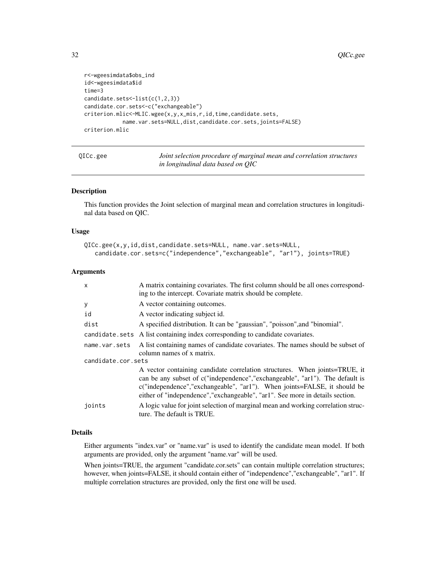```
r<-wgeesimdata$obs_ind
id<-wgeesimdata$id
time=3
candidate.sets<-list(c(1,2,3))
candidate.cor.sets<-c("exchangeable")
criterion.mlic<-MLIC.wgee(x,y,x_mis,r,id,time,candidate.sets,
            name.var.sets=NULL,dist,candidate.cor.sets,joints=FALSE)
criterion.mlic
```

| QICc.gee | Joint selection procedure of marginal mean and correlation structures |
|----------|-----------------------------------------------------------------------|
|          | in longitudinal data based on QIC                                     |

#### Description

This function provides the Joint selection of marginal mean and correlation structures in longitudinal data based on QIC.

#### Usage

```
QICc.gee(x,y,id,dist,candidate.sets=NULL, name.var.sets=NULL,
   candidate.cor.sets=c("independence","exchangeable", "ar1"), joints=TRUE)
```
#### Arguments

| X                  | A matrix containing covariates. The first column should be all ones correspond-<br>ing to the intercept. Covariate matrix should be complete.                                                                                                                                                                            |  |
|--------------------|--------------------------------------------------------------------------------------------------------------------------------------------------------------------------------------------------------------------------------------------------------------------------------------------------------------------------|--|
| У                  | A vector containing outcomes.                                                                                                                                                                                                                                                                                            |  |
| id                 | A vector indicating subject id.                                                                                                                                                                                                                                                                                          |  |
| dist               | A specified distribution. It can be "gaussian", "poisson", and "binomial".                                                                                                                                                                                                                                               |  |
|                    | candidate.sets A list containing index corresponding to candidate covariates.                                                                                                                                                                                                                                            |  |
| name.var.sets      | A list containing names of candidate covariates. The names should be subset of<br>column names of x matrix.                                                                                                                                                                                                              |  |
| candidate.cor.sets |                                                                                                                                                                                                                                                                                                                          |  |
|                    | A vector containing candidate correlation structures. When joints=TRUE, it<br>can be any subset of c("independence", "exchangeable", "ar1"). The default is<br>c("independence","exchangeable", "ar1"). When joints=FALSE, it should be<br>either of "independence", "exchangeable", "ar1". See more in details section. |  |
| joints             | A logic value for joint selection of marginal mean and working correlation struc-<br>ture. The default is TRUE.                                                                                                                                                                                                          |  |

#### Details

Either arguments "index.var" or "name.var" is used to identify the candidate mean model. If both arguments are provided, only the argument "name.var" will be used.

When joints=TRUE, the argument "candidate.cor.sets" can contain multiple correlation structures; however, when joints=FALSE, it should contain either of "independence","exchangeable", "ar1". If multiple correlation structures are provided, only the first one will be used.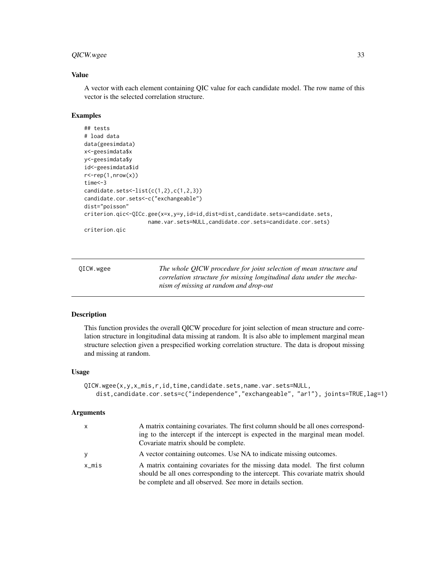#### <span id="page-32-0"></span>QICW.wgee 33

#### Value

A vector with each element containing QIC value for each candidate model. The row name of this vector is the selected correlation structure.

#### Examples

```
## tests
# load data
data(geesimdata)
x<-geesimdata$x
y<-geesimdata$y
id<-geesimdata$id
r <-rep(1,nrow(x))
time<-3
candidate.sets<-list(c(1,2),c(1,2,3))
candidate.cor.sets<-c("exchangeable")
dist="poisson"
criterion.qic<-QICc.gee(x=x,y=y,id=id,dist=dist,candidate.sets=candidate.sets,
                    name.var.sets=NULL,candidate.cor.sets=candidate.cor.sets)
criterion.qic
```

| OICW.wgee | The whole QICW procedure for joint selection of mean structure and   |
|-----------|----------------------------------------------------------------------|
|           | correlation structure for missing longitudinal data under the mecha- |
|           | nism of missing at random and drop-out                               |

#### Description

This function provides the overall QICW procedure for joint selection of mean structure and correlation structure in longitudinal data missing at random. It is also able to implement marginal mean structure selection given a prespecified working correlation structure. The data is dropout missing and missing at random.

#### Usage

```
QICW.wgee(x,y,x_mis,r,id,time,candidate.sets,name.var.sets=NULL,
   dist,candidate.cor.sets=c("independence","exchangeable", "ar1"), joints=TRUE,lag=1)
```

| X        | A matrix containing covariates. The first column should be all ones correspond-                                                                                |
|----------|----------------------------------------------------------------------------------------------------------------------------------------------------------------|
|          | ing to the intercept if the intercept is expected in the marginal mean model.                                                                                  |
|          | Covariate matrix should be complete.                                                                                                                           |
| y        | A vector containing outcomes. Use NA to indicate missing outcomes.                                                                                             |
| $x_m$ is | A matrix containing covariates for the missing data model. The first column<br>should be all ones corresponding to the intercept. This covariate matrix should |
|          | be complete and all observed. See more in details section.                                                                                                     |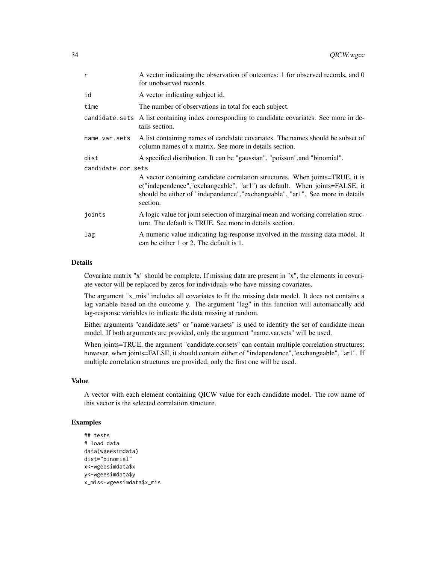| $\mathsf{r}$       | A vector indicating the observation of outcomes: 1 for observed records, and 0<br>for unobserved records.                                                                                                                                                |
|--------------------|----------------------------------------------------------------------------------------------------------------------------------------------------------------------------------------------------------------------------------------------------------|
| id                 | A vector indicating subject id.                                                                                                                                                                                                                          |
| time               | The number of observations in total for each subject.                                                                                                                                                                                                    |
|                    | candidate sets A list containing index corresponding to candidate covariates. See more in de-<br>tails section.                                                                                                                                          |
| name.var.sets      | A list containing names of candidate covariates. The names should be subset of<br>column names of x matrix. See more in details section.                                                                                                                 |
| dist               | A specified distribution. It can be "gaussian", "poisson", and "binomial".                                                                                                                                                                               |
| candidate.cor.sets |                                                                                                                                                                                                                                                          |
|                    | A vector containing candidate correlation structures. When joints=TRUE, it is<br>c("independence","exchangeable", "ar1") as default. When joints=FALSE, it<br>should be either of "independence", "exchangeable", "ar1". See more in details<br>section. |
| joints             | A logic value for joint selection of marginal mean and working correlation struc-<br>ture. The default is TRUE. See more in details section.                                                                                                             |
| lag                | A numeric value indicating lag-response involved in the missing data model. It<br>can be either 1 or 2. The default is 1.                                                                                                                                |

#### Details

Covariate matrix "x" should be complete. If missing data are present in "x", the elements in covariate vector will be replaced by zeros for individuals who have missing covariates.

The argument "x\_mis" includes all covariates to fit the missing data model. It does not contains a lag variable based on the outcome y. The argument "lag" in this function will automatically add lag-response variables to indicate the data missing at random.

Either arguments "candidate.sets" or "name.var.sets" is used to identify the set of candidate mean model. If both arguments are provided, only the argument "name.var.sets" will be used.

When joints=TRUE, the argument "candidate.cor.sets" can contain multiple correlation structures; however, when joints=FALSE, it should contain either of "independence","exchangeable", "ar1". If multiple correlation structures are provided, only the first one will be used.

#### Value

A vector with each element containing QICW value for each candidate model. The row name of this vector is the selected correlation structure.

```
## tests
# load data
data(wgeesimdata)
dist="binomial"
x<-wgeesimdata$x
y<-wgeesimdata$y
x_mis<-wgeesimdata$x_mis
```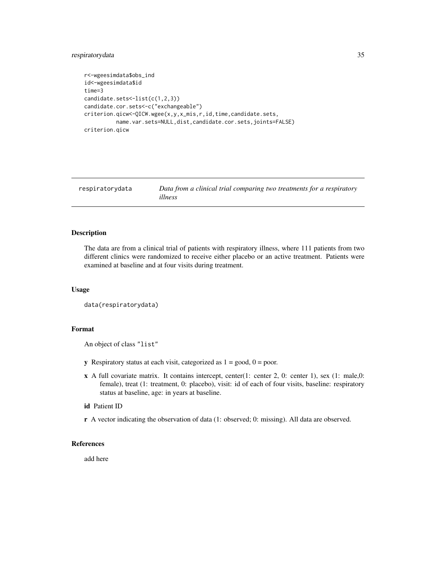```
r<-wgeesimdata$obs_ind
id<-wgeesimdata$id
time=3
candidate.sets<-list(c(1,2,3))
candidate.cor.sets<-c("exchangeable")
criterion.qicw<-QICW.wgee(x,y,x_mis,r,id,time,candidate.sets,
         name.var.sets=NULL,dist,candidate.cor.sets,joints=FALSE)
criterion.qicw
```
respiratorydata *Data from a clinical trial comparing two treatments for a respiratory illness*

#### Description

The data are from a clinical trial of patients with respiratory illness, where 111 patients from two different clinics were randomized to receive either placebo or an active treatment. Patients were examined at baseline and at four visits during treatment.

#### Usage

```
data(respiratorydata)
```
#### Format

An object of class "list"

- y Respiratory status at each visit, categorized as  $1 = \text{good}, 0 = \text{poor}.$
- $x$  A full covariate matrix. It contains intercept, center(1: center 2, 0: center 1), sex (1: male,0: female), treat (1: treatment, 0: placebo), visit: id of each of four visits, baseline: respiratory status at baseline, age: in years at baseline.

#### id Patient ID

r A vector indicating the observation of data (1: observed; 0: missing). All data are observed.

#### References

add here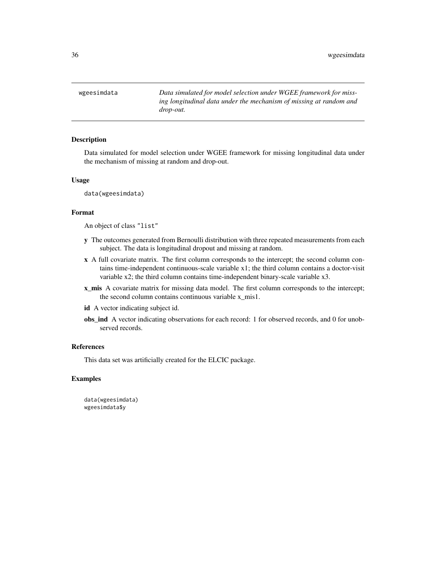<span id="page-35-0"></span>wgeesimdata *Data simulated for model selection under WGEE framework for missing longitudinal data under the mechanism of missing at random and drop-out.*

#### Description

Data simulated for model selection under WGEE framework for missing longitudinal data under the mechanism of missing at random and drop-out.

#### Usage

data(wgeesimdata)

#### Format

An object of class "list"

- y The outcomes generated from Bernoulli distribution with three repeated measurements from each subject. The data is longitudinal dropout and missing at random.
- x A full covariate matrix. The first column corresponds to the intercept; the second column contains time-independent continuous-scale variable x1; the third column contains a doctor-visit variable x2; the third column contains time-independent binary-scale variable x3.
- x\_mis A covariate matrix for missing data model. The first column corresponds to the intercept; the second column contains continuous variable x\_mis1.
- id A vector indicating subject id.
- obs\_ind A vector indicating observations for each record: 1 for observed records, and 0 for unobserved records.

#### References

This data set was artificially created for the ELCIC package.

#### Examples

data(wgeesimdata) wgeesimdata\$y